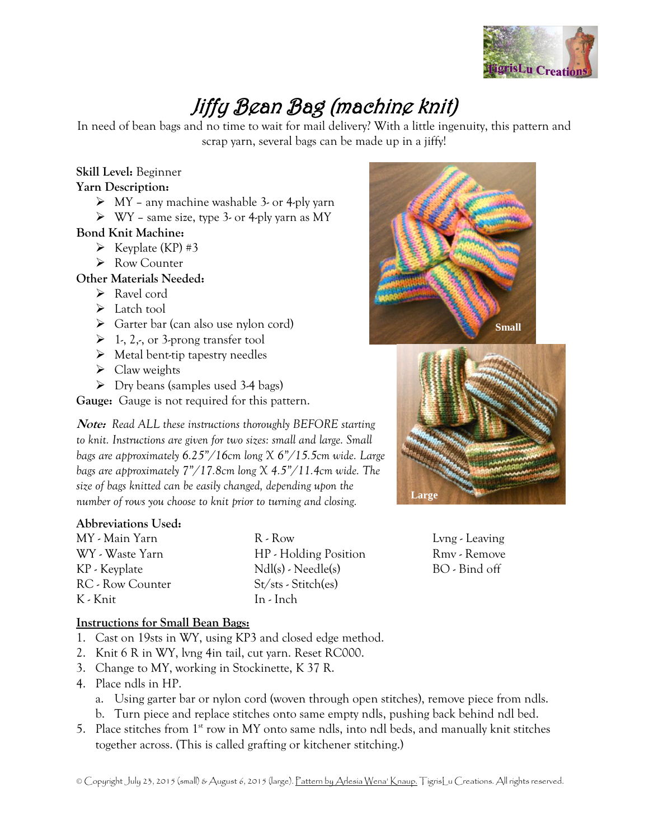

# Jiffy Bean Bag (machine knit)

In need of bean bags and no time to wait for mail delivery? With a little ingenuity, this pattern and scrap yarn, several bags can be made up in a jiffy!

#### **Skill Level:** Beginner

#### **Yarn Description:**

- $\triangleright$  MY any machine washable 3- or 4-ply yarn
- $\triangleright$  WY same size, type 3- or 4-ply yarn as MY

## **Bond Knit Machine:**

- $\triangleright$  Keyplate (KP) #3
- ▶ Row Counter

## **Other Materials Needed:**

- Ravel cord
- > Latch tool
- $\triangleright$  Garter bar (can also use nylon cord)
- $\triangleright$  1, 2, or 3-prong transfer tool
- $\triangleright$  Metal bent-tip tapestry needles
- $\triangleright$  Claw weights
- $\triangleright$  Dry beans (samples used 3-4 bags)

**Gauge:** Gauge is not required for this pattern.

**Note:** *Read ALL these instructions thoroughly BEFORE starting to knit. Instructions are given for two sizes: small and large. Small bags are approximately 6.25"/16cm long X 6"/15.5cm wide. Large bags are approximately 7"/17.8cm long X 4.5"/11.4cm wide. The size of bags knitted can be easily changed, depending upon the number of rows you choose to knit prior to turning and closing.*

## **Abbreviations Used:**

| MY - Main Yarn   |
|------------------|
| WY - Waste Yarn  |
| KP - Keyplate    |
| RC - Row Counter |
| K - Knit         |

R - Row HP - Holding Position Ndl(s) - Needle(s) St/sts - Stitch(es) In - Inch





Lvng - Leaving Rmv - Remove BO - Bind off

#### **Instructions for Small Bean Bags:**

- 1. Cast on 19sts in WY, using KP3 and closed edge method.
- 2. Knit 6 R in WY, lvng 4in tail, cut yarn. Reset RC000.
- 3. Change to MY, working in Stockinette, K 37 R.
- 4. Place ndls in HP.
	- a. Using garter bar or nylon cord (woven through open stitches), remove piece from ndls.
	- b. Turn piece and replace stitches onto same empty ndls, pushing back behind ndl bed.
- 5. Place stitches from  $1<sup>st</sup>$  row in MY onto same ndls, into ndl beds, and manually knit stitches together across. (This is called grafting or kitchener stitching.)